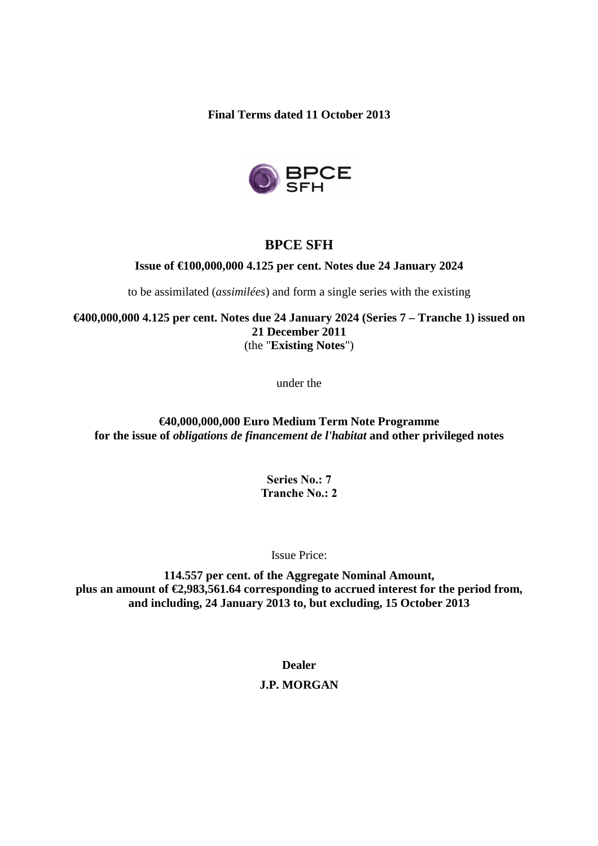**Final Terms dated 11 October 2013** 



# **BPCE SFH**

## **Issue of €100,000,000 4.125 per cent. Notes due 24 January 2024**

to be assimilated (*assimilées*) and form a single series with the existing

**€400,000,000 4.125 per cent. Notes due 24 January 2024 (Series 7 – Tranche 1) issued on 21 December 2011**  (the "**Existing Notes**")

under the

## **€40,000,000,000 Euro Medium Term Note Programme for the issue of** *obligations de financement de l'habitat* **and other privileged notes**

**Series No.: 7 Tranche No.: 2**

Issue Price:

**114.557 per cent. of the Aggregate Nominal Amount, plus an amount of €2,983,561.64 corresponding to accrued interest for the period from, and including, 24 January 2013 to, but excluding, 15 October 2013** 

**Dealer** 

# **J.P. MORGAN**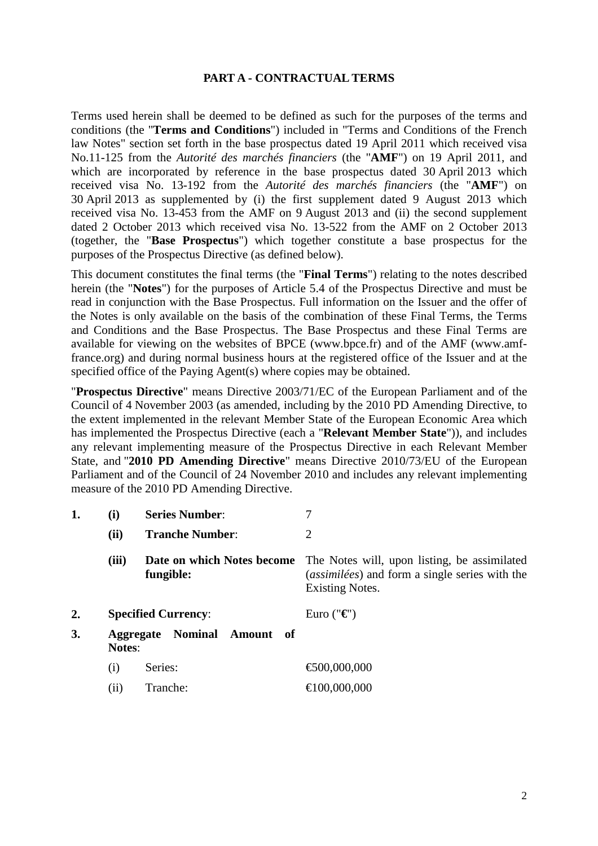### **PART A - CONTRACTUAL TERMS**

Terms used herein shall be deemed to be defined as such for the purposes of the terms and conditions (the "**Terms and Conditions**") included in "Terms and Conditions of the French law Notes" section set forth in the base prospectus dated 19 April 2011 which received visa No.11-125 from the *Autorité des marchés financiers* (the "**AMF**") on 19 April 2011, and which are incorporated by reference in the base prospectus dated 30 April 2013 which received visa No. 13-192 from the *Autorité des marchés financiers* (the "**AMF**") on 30 April 2013 as supplemented by (i) the first supplement dated 9 August 2013 which received visa No. 13-453 from the AMF on 9 August 2013 and (ii) the second supplement dated 2 October 2013 which received visa No. 13-522 from the AMF on 2 October 2013 (together, the "**Base Prospectus**") which together constitute a base prospectus for the purposes of the Prospectus Directive (as defined below).

This document constitutes the final terms (the "**Final Terms**") relating to the notes described herein (the "**Notes**") for the purposes of Article 5.4 of the Prospectus Directive and must be read in conjunction with the Base Prospectus. Full information on the Issuer and the offer of the Notes is only available on the basis of the combination of these Final Terms, the Terms and Conditions and the Base Prospectus. The Base Prospectus and these Final Terms are available for viewing on the websites of BPCE (www.bpce.fr) and of the AMF (www.amffrance.org) and during normal business hours at the registered office of the Issuer and at the specified office of the Paying Agent(s) where copies may be obtained.

"**Prospectus Directive**" means Directive 2003/71/EC of the European Parliament and of the Council of 4 November 2003 (as amended, including by the 2010 PD Amending Directive, to the extent implemented in the relevant Member State of the European Economic Area which has implemented the Prospectus Directive (each a "**Relevant Member State**")), and includes any relevant implementing measure of the Prospectus Directive in each Relevant Member State, and "**2010 PD Amending Directive**" means Directive 2010/73/EU of the European Parliament and of the Council of 24 November 2010 and includes any relevant implementing measure of the 2010 PD Amending Directive.

|    | (i)                                                    | <b>Series Number:</b>                   |                                                                                                                          |
|----|--------------------------------------------------------|-----------------------------------------|--------------------------------------------------------------------------------------------------------------------------|
|    | (ii)                                                   | <b>Tranche Number:</b>                  | 2                                                                                                                        |
|    | (iii)                                                  | Date on which Notes become<br>fungible: | The Notes will, upon listing, be assimilated<br>(assimilées) and form a single series with the<br><b>Existing Notes.</b> |
| 2. |                                                        | <b>Specified Currency:</b>              | Euro (" $\epsilon$ ")                                                                                                    |
| 3. | <b>Aggregate Nominal</b><br>Amount of<br><b>Notes:</b> |                                         |                                                                                                                          |
|    | (i)                                                    | Series:                                 | €500,000,000                                                                                                             |
|    | (11)                                                   | Tranche:                                | €100,000,000                                                                                                             |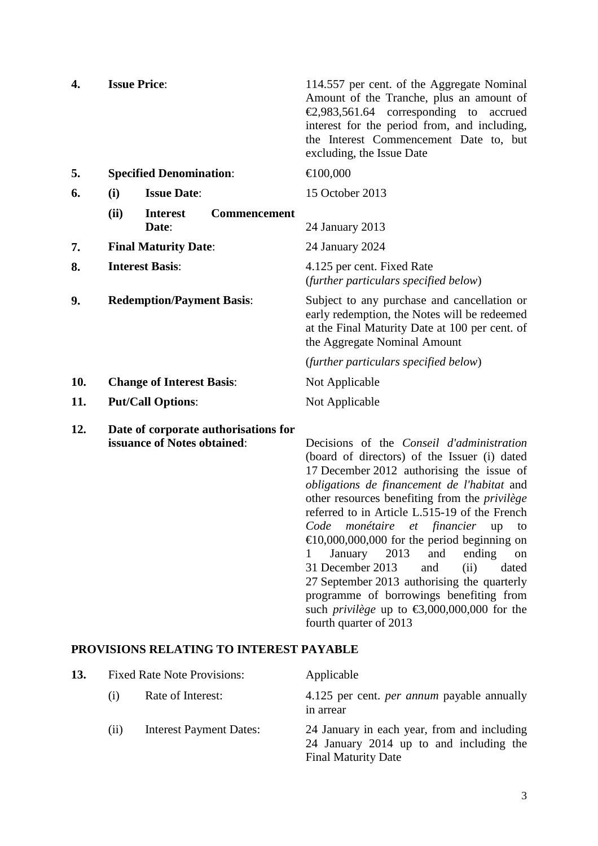| 4.  | <b>Issue Price:</b>                                                 | 114.557 per cent. of the Aggregate Nominal<br>Amount of the Tranche, plus an amount of<br>€2,983,561.64 corresponding to<br>accrued<br>interest for the period from, and including,<br>the Interest Commencement Date to, but<br>excluding, the Issue Date                                            |
|-----|---------------------------------------------------------------------|-------------------------------------------------------------------------------------------------------------------------------------------------------------------------------------------------------------------------------------------------------------------------------------------------------|
| 5.  | <b>Specified Denomination:</b>                                      | €100,000                                                                                                                                                                                                                                                                                              |
| 6.  | <b>Issue Date:</b><br>(i)                                           | 15 October 2013                                                                                                                                                                                                                                                                                       |
|     | (ii)<br><b>Interest</b><br><b>Commencement</b><br>Date:             | 24 January 2013                                                                                                                                                                                                                                                                                       |
| 7.  | <b>Final Maturity Date:</b>                                         | 24 January 2024                                                                                                                                                                                                                                                                                       |
| 8.  | <b>Interest Basis:</b>                                              | 4.125 per cent. Fixed Rate<br>(further particulars specified below)                                                                                                                                                                                                                                   |
| 9.  | <b>Redemption/Payment Basis:</b>                                    | Subject to any purchase and cancellation or<br>early redemption, the Notes will be redeemed<br>at the Final Maturity Date at 100 per cent. of<br>the Aggregate Nominal Amount                                                                                                                         |
|     |                                                                     | (further particulars specified below)                                                                                                                                                                                                                                                                 |
| 10. | <b>Change of Interest Basis:</b>                                    | Not Applicable                                                                                                                                                                                                                                                                                        |
| 11. | <b>Put/Call Options:</b>                                            | Not Applicable                                                                                                                                                                                                                                                                                        |
| 12. | Date of corporate authorisations for<br>issuance of Notes obtained: | Decisions of the <i>Conseil d'administration</i><br>(board of directors) of the Issuer (i) dated<br>17 December 2012 authorising the issue of<br>obligations de financement de l'habitat and<br>other resources benefiting from the <i>privilège</i><br>referred to in Article L.515-19 of the French |

### **PROVISIONS RELATING TO INTEREST PAYABLE**

| 13. | <b>Fixed Rate Note Provisions:</b> |                                | Applicable                                                                                                           |  |
|-----|------------------------------------|--------------------------------|----------------------------------------------------------------------------------------------------------------------|--|
|     | (i)                                | Rate of Interest:              | 4.125 per cent. <i>per annum</i> payable annually<br>in arrear                                                       |  |
|     | (11)                               | <b>Interest Payment Dates:</b> | 24 January in each year, from and including<br>24 January 2014 up to and including the<br><b>Final Maturity Date</b> |  |

fourth quarter of 2013

*Code monétaire et financier* up to €10,000,000,000 for the period beginning on 1 January 2013 and ending on 31 December 2013 and (ii) dated 27 September 2013 authorising the quarterly programme of borrowings benefiting from such *privilège* up to  $\epsilon$ 3,000,000,000 for the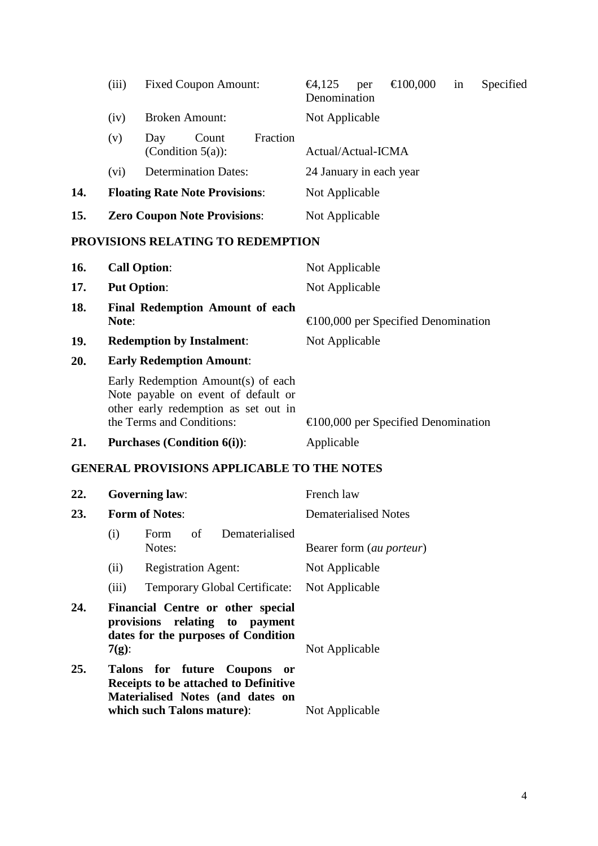|     | (iii)                                 | <b>Fixed Coupon Amount:</b>                      | €100,000<br>Secified<br>€4,125<br>in<br>per<br>Denomination |
|-----|---------------------------------------|--------------------------------------------------|-------------------------------------------------------------|
|     | (iv)                                  | <b>Broken Amount:</b>                            | Not Applicable                                              |
|     | (v)                                   | Fraction<br>Count<br>Day<br>(Condition $5(a)$ ): | Actual/Actual-ICMA                                          |
|     | (v <sub>i</sub> )                     | <b>Determination Dates:</b>                      | 24 January in each year                                     |
| 14. | <b>Floating Rate Note Provisions:</b> |                                                  | Not Applicable                                              |
| 15. | <b>Zero Coupon Note Provisions:</b>   |                                                  | Not Applicable                                              |
|     |                                       |                                                  |                                                             |

# **PROVISIONS RELATING TO REDEMPTION**

| 16.        | <b>Call Option:</b>                                                                                                                            | Not Applicable                                |
|------------|------------------------------------------------------------------------------------------------------------------------------------------------|-----------------------------------------------|
| 17.        | <b>Put Option:</b>                                                                                                                             | Not Applicable                                |
| 18.        | <b>Final Redemption Amount of each</b><br>Note:                                                                                                | $\epsilon$ 100,000 per Specified Denomination |
| <b>19.</b> | <b>Redemption by Instalment:</b>                                                                                                               | Not Applicable                                |
| 20.        | <b>Early Redemption Amount:</b>                                                                                                                |                                               |
|            | Early Redemption Amount(s) of each<br>Note payable on event of default or<br>other early redemption as set out in<br>the Terms and Conditions: | $\epsilon$ 100,000 per Specified Denomination |
| 21.        | <b>Purchases (Condition 6(i)):</b>                                                                                                             | Applicable                                    |

# **GENERAL PROVISIONS APPLICABLE TO THE NOTES**

| 22. |                                                                                                                        | <b>Governing law:</b>                                                                                                                        | French law               |
|-----|------------------------------------------------------------------------------------------------------------------------|----------------------------------------------------------------------------------------------------------------------------------------------|--------------------------|
| 23. |                                                                                                                        | <b>Form of Notes:</b>                                                                                                                        | Dematerialised Notes     |
|     | (i)                                                                                                                    | Form of<br><b>Dematerialised</b><br>Notes:                                                                                                   | Bearer form (au porteur) |
|     | (ii)                                                                                                                   | <b>Registration Agent:</b>                                                                                                                   | Not Applicable           |
|     | (iii)                                                                                                                  | Temporary Global Certificate: Not Applicable                                                                                                 |                          |
| 24. | Financial Centre or other special<br>provisions relating to payment<br>dates for the purposes of Condition<br>$7(g)$ : |                                                                                                                                              | Not Applicable           |
| 25. |                                                                                                                        | Talons for future Coupons<br>- or<br>Receipts to be attached to Definitive<br>Materialised Notes (and dates on<br>which such Talons mature): | Not Applicable           |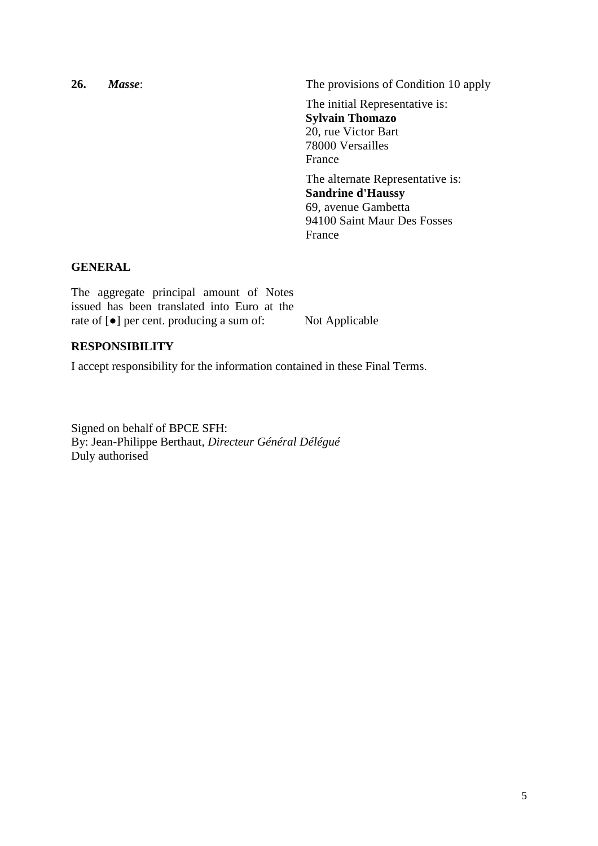**26.** *Masse*: The provisions of Condition 10 apply The initial Representative is: **Sylvain Thomazo**  20, rue Victor Bart 78000 Versailles France The alternate Representative is: **Sandrine d'Haussy**  69, avenue Gambetta 94100 Saint Maur Des Fosses

#### France

### **GENERAL**

The aggregate principal amount of Notes issued has been translated into Euro at the rate of [●] per cent. producing a sum of: Not Applicable

### **RESPONSIBILITY**

I accept responsibility for the information contained in these Final Terms.

Signed on behalf of BPCE SFH: By: Jean-Philippe Berthaut, *Directeur Général Délégué* Duly authorised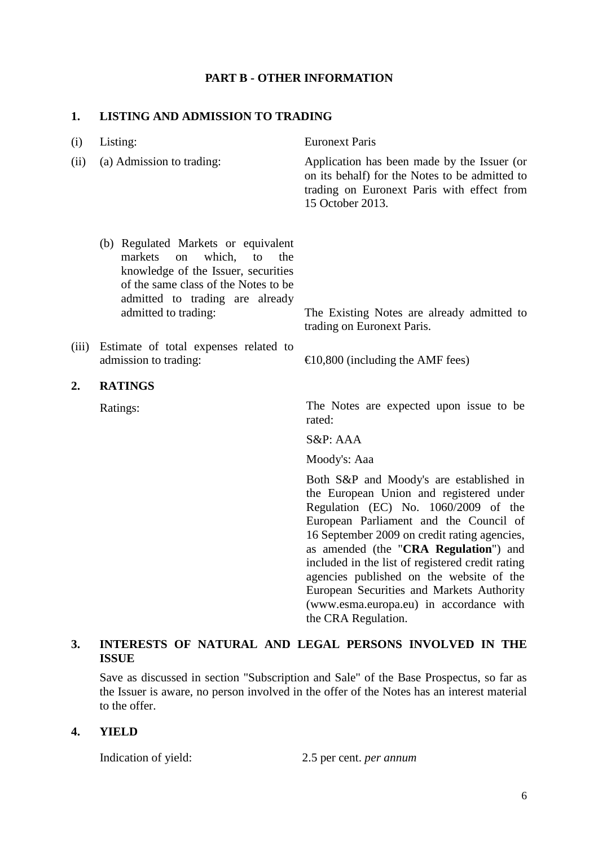## **PART B - OTHER INFORMATION**

### **1. LISTING AND ADMISSION TO TRADING**

| (i)   | Listing:                                                                                                                                                                                                              | <b>Euronext Paris</b>                                                                                                                                                                                                                                                                                                                                                                                      |
|-------|-----------------------------------------------------------------------------------------------------------------------------------------------------------------------------------------------------------------------|------------------------------------------------------------------------------------------------------------------------------------------------------------------------------------------------------------------------------------------------------------------------------------------------------------------------------------------------------------------------------------------------------------|
| (ii)  | (a) Admission to trading:                                                                                                                                                                                             | Application has been made by the Issuer (or<br>on its behalf) for the Notes to be admitted to<br>trading on Euronext Paris with effect from<br>15 October 2013.                                                                                                                                                                                                                                            |
|       | (b) Regulated Markets or equivalent<br>markets<br>which,<br>to<br>the<br>on<br>knowledge of the Issuer, securities<br>of the same class of the Notes to be<br>admitted to trading are already<br>admitted to trading: | The Existing Notes are already admitted to<br>trading on Euronext Paris.                                                                                                                                                                                                                                                                                                                                   |
| (iii) | Estimate of total expenses related to                                                                                                                                                                                 |                                                                                                                                                                                                                                                                                                                                                                                                            |
|       | admission to trading:                                                                                                                                                                                                 | €10,800 (including the AMF fees)                                                                                                                                                                                                                                                                                                                                                                           |
| 2.    | <b>RATINGS</b>                                                                                                                                                                                                        |                                                                                                                                                                                                                                                                                                                                                                                                            |
|       | Ratings:                                                                                                                                                                                                              | The Notes are expected upon issue to be<br>rated:                                                                                                                                                                                                                                                                                                                                                          |
|       |                                                                                                                                                                                                                       | S&P: AAA                                                                                                                                                                                                                                                                                                                                                                                                   |
|       |                                                                                                                                                                                                                       | Moody's: Aaa                                                                                                                                                                                                                                                                                                                                                                                               |
|       |                                                                                                                                                                                                                       | Both S&P and Moody's are established in<br>the European Union and registered under<br>Regulation (EC) No. 1060/2009 of the<br>European Parliament and the Council of<br>16 September 2009 on credit rating agencies,<br>as amended (the "CRA Regulation") and<br>included in the list of registered credit rating<br>agencies published on the website of the<br>European Securities and Markets Authority |

## **3. INTERESTS OF NATURAL AND LEGAL PERSONS INVOLVED IN THE ISSUE**

Save as discussed in section "Subscription and Sale" of the Base Prospectus, so far as the Issuer is aware, no person involved in the offer of the Notes has an interest material to the offer.

### **4. YIELD**

Indication of yield: 2.5 per cent. *per annum*

the CRA Regulation.

(www.esma.europa.eu) in accordance with